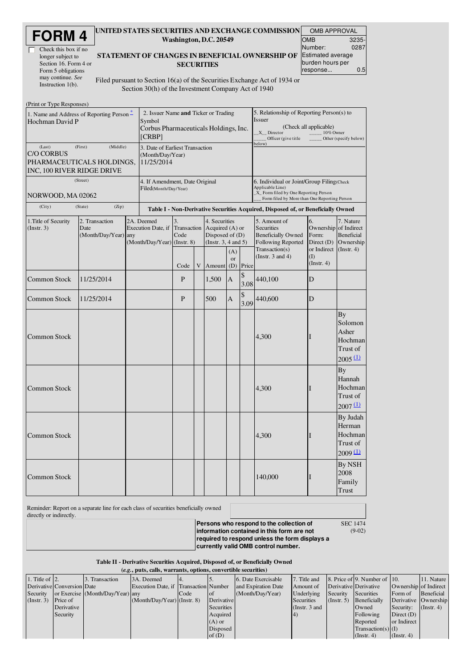| <b>FORM4</b> |  |
|--------------|--|
|--------------|--|

| Check this box if no  |
|-----------------------|
| longer subject to     |
| Section 16. Form 4 or |
| Form 5 obligations    |
| may continue. See     |
| Instruction $1(b)$ .  |

#### UNITED STATES SECURITIES AND EXCHANGE COMMISSION OMB APPROVAL Washington, D.C. 20549

| UIVID AFFNUVAL           |       |  |  |  |  |  |
|--------------------------|-------|--|--|--|--|--|
| <b>OMB</b>               | 3235- |  |  |  |  |  |
| Number:                  | 0287  |  |  |  |  |  |
| <b>Estimated average</b> |       |  |  |  |  |  |
| burden hours per         |       |  |  |  |  |  |
| response                 | 0.5   |  |  |  |  |  |

#### STATEMENT OF CHANGES IN BENEFICIAL OWNERSHIP OF **SECURITIES**

Filed pursuant to Section 16(a) of the Securities Exchange Act of 1934 or Section 30(h) of the Investment Company Act of 1940

| (Print or Type Responses)                                                                         |                                                                   |                                                         |                                                                                                   |                           |   |                                                                                 |                                                                                                                                                         |                                                                                                                |                                                                                                               |                                                                     |                                                                 |
|---------------------------------------------------------------------------------------------------|-------------------------------------------------------------------|---------------------------------------------------------|---------------------------------------------------------------------------------------------------|---------------------------|---|---------------------------------------------------------------------------------|---------------------------------------------------------------------------------------------------------------------------------------------------------|----------------------------------------------------------------------------------------------------------------|---------------------------------------------------------------------------------------------------------------|---------------------------------------------------------------------|-----------------------------------------------------------------|
| 1. Name and Address of Reporting Person –<br>Hochman David P                                      |                                                                   |                                                         | 2. Issuer Name and Ticker or Trading<br>Symbol<br>Corbus Pharmaceuticals Holdings, Inc.<br>[CRBP] |                           |   |                                                                                 |                                                                                                                                                         | 5. Relationship of Reporting Person(s) to<br><b>Issuer</b><br>$X$ <sub>_</sub> Director<br>Officer (give title | (Check all applicable)<br>10% Owner                                                                           | Other (specify below)                                               |                                                                 |
| (Last)<br>(First)<br><b>C/O CORBUS</b><br>PHARMACEUTICALS HOLDINGS,<br>INC, 100 RIVER RIDGE DRIVE | 3. Date of Earliest Transaction<br>(Month/Day/Year)<br>11/25/2014 |                                                         |                                                                                                   |                           |   | below)                                                                          |                                                                                                                                                         |                                                                                                                |                                                                                                               |                                                                     |                                                                 |
| (Street)<br>NORWOOD, MA 02062                                                                     |                                                                   | 4. If Amendment, Date Original<br>Filed(Month/Day/Year) |                                                                                                   |                           |   |                                                                                 | 6. Individual or Joint/Group Filing(Check<br>Applicable Line)<br>_X_ Form filed by One Reporting Person<br>Form filed by More than One Reporting Person |                                                                                                                |                                                                                                               |                                                                     |                                                                 |
| (City)                                                                                            | (State)<br>(Zip)                                                  |                                                         |                                                                                                   |                           |   |                                                                                 |                                                                                                                                                         |                                                                                                                | Table I - Non-Derivative Securities Acquired, Disposed of, or Beneficially Owned                              |                                                                     |                                                                 |
| 1. Title of Security<br>2. Transaction<br>Date<br>(Instr. 3)<br>(Month/Day/Year) any              |                                                                   |                                                         | 2A. Deemed<br>Execution Date, if<br>(Month/Day/Year) (Instr. 8)                                   | 3.<br>Transaction<br>Code |   | 4. Securities<br>Acquired $(A)$ or<br>Disposed of $(D)$<br>(Insert. 3, 4 and 5) |                                                                                                                                                         |                                                                                                                | 5. Amount of<br><b>Securities</b><br><b>Beneficially Owned</b><br><b>Following Reported</b><br>Transaction(s) | 6.<br>Ownership of Indirect<br>Form:<br>Direct $(D)$<br>or Indirect | 7. Nature<br><b>Beneficial</b><br>Ownership<br>$($ Instr. 4 $)$ |
|                                                                                                   |                                                                   |                                                         |                                                                                                   | Code                      | V | Amount                                                                          | (A)<br>or<br>(D)                                                                                                                                        | Price                                                                                                          | (Instr. $3$ and $4$ )                                                                                         | $($ $\Gamma$<br>(Instr. 4)                                          |                                                                 |
| <b>Common Stock</b>                                                                               | 11/25/2014                                                        |                                                         |                                                                                                   | P                         |   | 1,500                                                                           | A                                                                                                                                                       | \$<br>3.08                                                                                                     | 440,100                                                                                                       | D                                                                   |                                                                 |
| <b>Common Stock</b>                                                                               | 11/25/2014                                                        |                                                         |                                                                                                   | P                         |   | 500                                                                             | A                                                                                                                                                       | \$<br>3.09                                                                                                     | 440,600                                                                                                       | D                                                                   |                                                                 |
| <b>Common Stock</b>                                                                               |                                                                   |                                                         |                                                                                                   |                           |   |                                                                                 |                                                                                                                                                         |                                                                                                                | 4,300                                                                                                         |                                                                     | Вy<br>Solomon<br>Asher<br>Hochman<br>Trust of<br>2005(1)        |
| Common Stock                                                                                      |                                                                   |                                                         |                                                                                                   |                           |   |                                                                                 |                                                                                                                                                         |                                                                                                                | 4,300                                                                                                         |                                                                     | By<br>Hannah<br>Hochman<br>Trust of<br>$2007 \underline{11}$    |
| <b>Common Stock</b>                                                                               |                                                                   |                                                         |                                                                                                   |                           |   |                                                                                 |                                                                                                                                                         |                                                                                                                | 4,300                                                                                                         | T                                                                   | By Judah<br>Herman<br><b>Hochman</b><br>Trust of<br>2009(1)     |
| <b>Common Stock</b>                                                                               |                                                                   |                                                         |                                                                                                   |                           |   |                                                                                 |                                                                                                                                                         |                                                                                                                | 140,000                                                                                                       |                                                                     | <b>By NSH</b><br>2008<br>Family<br>Trust                        |

Reminder: Report on a separate line for each class of securities beneficially owned

directly or indirectly.

**Persons who respond to the collection of information contained in this form are not required to respond unless the form displays a currently valid OMB control number.** SEC 1474

(9-02)

Table II - Derivative Securities Acquired, Disposed of, or Beneficially Owned (*e.g.*, puts, calls, warrants, options, convertible securities)

|                        | $(0.8)$ puts cans, waitung options, convertible securities |                                  |                                       |      |             |                     |                 |                  |                              |                       |                  |
|------------------------|------------------------------------------------------------|----------------------------------|---------------------------------------|------|-------------|---------------------|-----------------|------------------|------------------------------|-----------------------|------------------|
| 1. Title of $\vert$ 2. |                                                            | 3. Transaction                   | 3A. Deemed                            | 14.  |             | 6. Date Exercisable | 7. Title and    |                  | 8. Price of 9. Number of 10. |                       | 11. Nature       |
|                        | Derivative Conversion Date                                 |                                  | Execution Date, if Transaction Number |      |             | and Expiration Date | Amount of       |                  | Derivative Derivative        | Ownership of Indirect |                  |
| Security               |                                                            | or Exercise (Month/Day/Year) any |                                       | Code | <b>l</b> ot | (Month/Day/Year)    | Underlying      | Security         | Securities                   | Form of               | Beneficial       |
| $($ Instr. 3 $)$       | Price of                                                   |                                  | $(Month/Day/Year)$ (Instr. 8)         |      | Derivative  |                     | Securities      | $($ Instr. 5 $)$ | Beneficially                 | Derivative Ownership  |                  |
|                        | Derivative                                                 |                                  |                                       |      | Securities  |                     | (Instr. $3$ and |                  | Owned                        | Security:             | $($ Instr. 4 $)$ |
|                        | Security                                                   |                                  |                                       |      | Acquired    |                     | $ 4\rangle$     |                  | Following                    | Direct $(D)$          |                  |
|                        |                                                            |                                  |                                       |      | $(A)$ or    |                     |                 |                  | Reported                     | or Indirect           |                  |
|                        |                                                            |                                  |                                       |      | Disposed    |                     |                 |                  | $Transaction(s)$ (I)         |                       |                  |
|                        |                                                            |                                  |                                       |      | of $(D)$    |                     |                 |                  | $($ Instr. 4 $)$             | $($ Instr. 4 $)$      |                  |